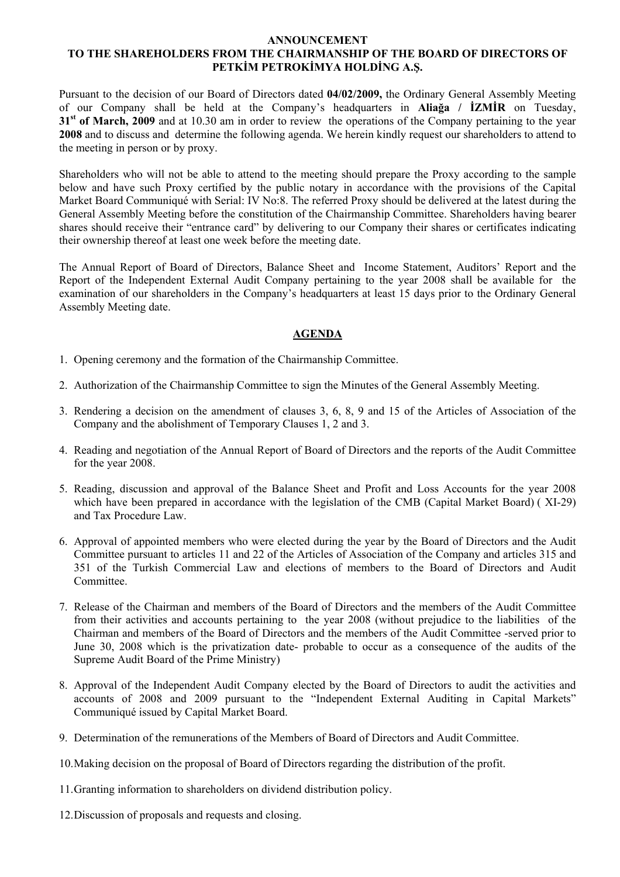#### **ANNOUNCEMENT**

# **TO THE SHAREHOLDERS FROM THE CHAIRMANSHIP OF THE BOARD OF DIRECTORS OF PETKİM PETROKİMYA HOLDİNG A.Ş.**

Pursuant to the decision of our Board of Directors dated **04/02/2009,** the Ordinary General Assembly Meeting of our Company shall be held at the Company's headquarters in **Aliağa / İZMİR** on Tuesday, **31st of March, 2009** and at 10.30 am in order to review the operations of the Company pertaining to the year **2008** and to discuss and determine the following agenda. We herein kindly request our shareholders to attend to the meeting in person or by proxy.

Shareholders who will not be able to attend to the meeting should prepare the Proxy according to the sample below and have such Proxy certified by the public notary in accordance with the provisions of the Capital Market Board Communiqué with Serial: IV No:8. The referred Proxy should be delivered at the latest during the General Assembly Meeting before the constitution of the Chairmanship Committee. Shareholders having bearer shares should receive their "entrance card" by delivering to our Company their shares or certificates indicating their ownership thereof at least one week before the meeting date.

The Annual Report of Board of Directors, Balance Sheet and Income Statement, Auditors' Report and the Report of the Independent External Audit Company pertaining to the year 2008 shall be available for the examination of our shareholders in the Company's headquarters at least 15 days prior to the Ordinary General Assembly Meeting date.

# **AGENDA**

- 1. Opening ceremony and the formation of the Chairmanship Committee.
- 2. Authorization of the Chairmanship Committee to sign the Minutes of the General Assembly Meeting.
- 3. Rendering a decision on the amendment of clauses 3, 6, 8, 9 and 15 of the Articles of Association of the Company and the abolishment of Temporary Clauses 1, 2 and 3.
- 4. Reading and negotiation of the Annual Report of Board of Directors and the reports of the Audit Committee for the year 2008.
- 5. Reading, discussion and approval of the Balance Sheet and Profit and Loss Accounts for the year 2008 which have been prepared in accordance with the legislation of the CMB (Capital Market Board) (XI-29) and Tax Procedure Law.
- 6. Approval of appointed members who were elected during the year by the Board of Directors and the Audit Committee pursuant to articles 11 and 22 of the Articles of Association of the Company and articles 315 and 351 of the Turkish Commercial Law and elections of members to the Board of Directors and Audit Committee.
- 7. Release of the Chairman and members of the Board of Directors and the members of the Audit Committee from their activities and accounts pertaining to the year 2008 (without prejudice to the liabilities of the Chairman and members of the Board of Directors and the members of the Audit Committee -served prior to June 30, 2008 which is the privatization date- probable to occur as a consequence of the audits of the Supreme Audit Board of the Prime Ministry)
- 8. Approval of the Independent Audit Company elected by the Board of Directors to audit the activities and accounts of 2008 and 2009 pursuant to the "Independent External Auditing in Capital Markets" Communiqué issued by Capital Market Board.
- 9. Determination of the remunerations of the Members of Board of Directors and Audit Committee.

10.Making decision on the proposal of Board of Directors regarding the distribution of the profit.

- 11.Granting information to shareholders on dividend distribution policy.
- 12.Discussion of proposals and requests and closing.